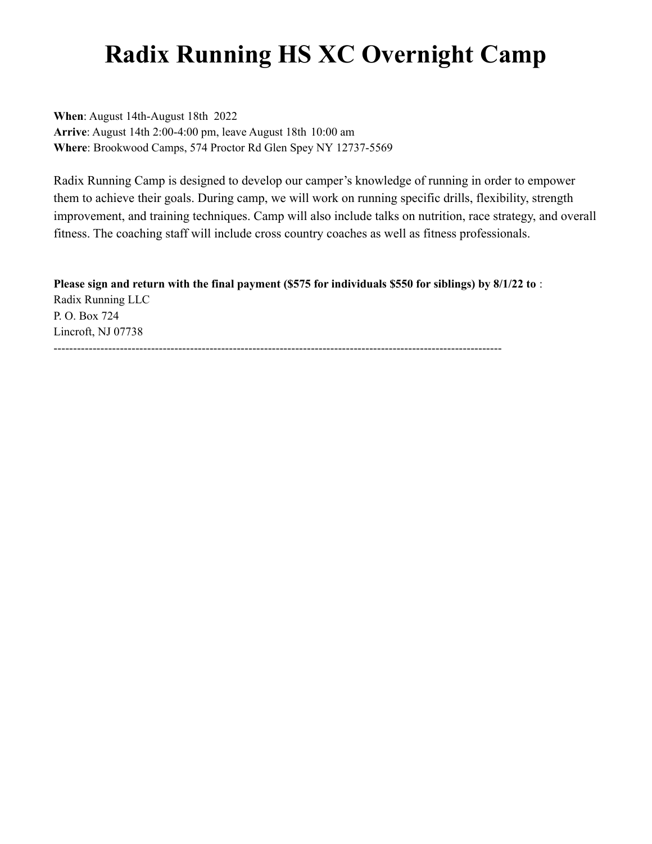## **Radix Running HS XC Overnight Camp**

**When**: August 14th-August 18th 2022 **Arrive**: August 14th 2:00-4:00 pm, leave August 18th 10:00 am **Where**: Brookwood Camps, 574 Proctor Rd Glen Spey NY 12737-5569

Radix Running Camp is designed to develop our camper's knowledge of running in order to empower them to achieve their goals. During camp, we will work on running specific drills, flexibility, strength improvement, and training techniques. Camp will also include talks on nutrition, race strategy, and overall fitness. The coaching staff will include cross country coaches as well as fitness professionals.

**Please sign and return with the final payment (\$575 for individuals \$550 for siblings) by 8/1/22 to** : Radix Running LLC P. O. Box 724 Lincroft, NJ 07738 -------------------------------------------------------------------------------------------------------------------